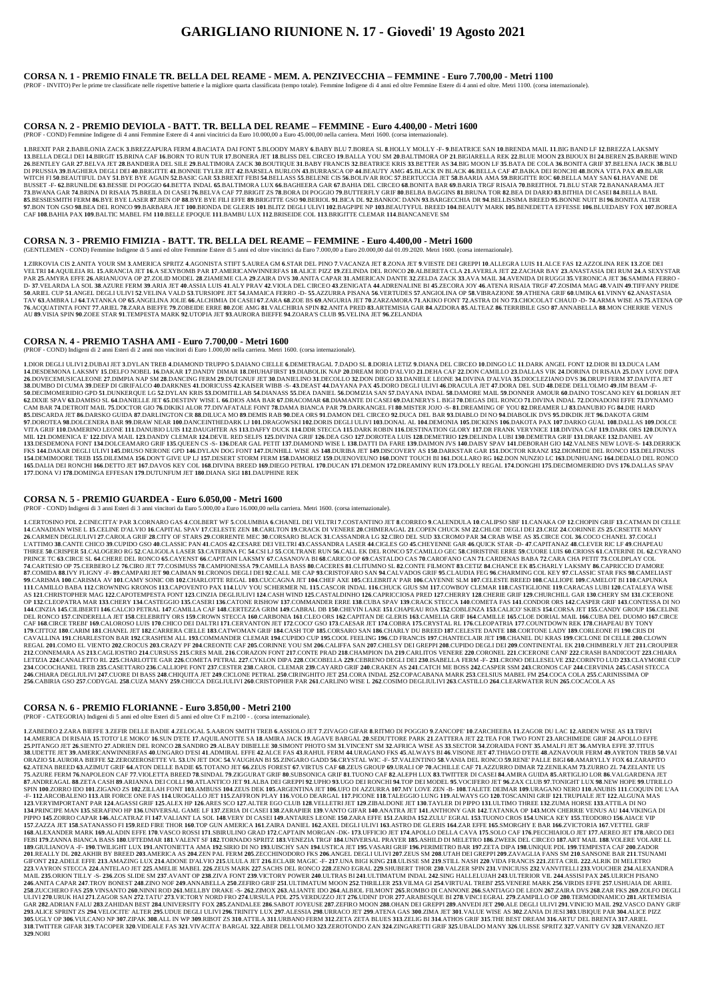## **GARIGLIANO RIUNIONE N. 17 - Giovedi' 19 Agosto 2021**

### **CORSA N. 1 - PREMIO FINALE TR. BELLA DEL REAME - MEM. A. PENZIVECCHIA – FEMMINE - Euro 7.700,00 - Metri 1100**

(PROF - INVITO) Per le prime tre classificate nelle rispettive batterie e la migliore quarta classificata (tempo totale). Femmine Indigene di 4 anni ed oltre Femmine Estere di 4 anni ed oltre. Metri 1100. (corsa internazio

#### **CORSA N. 2 - PREMIO DEVIOLA - BATT. TR. BELLA DEL REAME – FEMMINE - Euro 4.400,00 - Metri 1600**

(PROF - COND) Femmine Indigene di 4 anni Femmine Estere di 4 anni vincitrici da Euro 10.000,00 a Euro 45.000,00 nella carriera. Metri 1600. (corsa internazionale).

1.BREXIT PAR 2.BABILONIA ZACK 3.BREZZAPURA FERM 4.BACIATA DAI FONT 5.BLOODY MARY 6.BABY BLU 7.BOREA SL 8.HOLLY MOLLY -F-9.BEATRICE SAN 10.BRENDA MAIL 11.BIG BAND LF 12.BREZZA LAKSMY 13.BELLA DEGLI DEI 14.BIRGIT 15.BRINA CAF 16.BORN TO RUN TUR 17.BONERA JET 18.BLISS DEL CIRCEO 19.BALLA YOU SM 20.BALTIMORA OP 21.BIGIARELLA REK 22.BLUE MOON 23.BIJOUX BI 24.BEREN 25.BARBIE WIND 26.BENTLEY GAR 27.BELVA JET 28.BANDIERA DEL SILE 29.BALTIMORA ZACK 30.BOUTIQUE 31.BABY FRANCIS 32.BEATRICE KRIS 33.BETTER AS 34.BIG MOON LF 35.BATA DE COLA 36.BONITA GRIF 37.BELENA JACK 38.BLU DI PRUSSIA 39.BAGHERA DEGLI DEI 40.BRIGITTE 41.BONNIE TYLER JET 42.BARSELA BURLON 43.BURRASCA OP 44.BEAUTY AMG 45.BLACK IN BLACK 46.BELLA CAF 47.BAIKA DEI RONCHI 48.BONA VITA PAX 49.BLAR WITCH FI 50.BEAUTIFUL DAY 51.BYE BYE AGAIN 52.BASIC GAR 53.BREXIT FEBI 54.BELLASS 55.BELENE CIS 56.BOLIVAR ROC 57.BERTUCCIA JET 58.BAARIA AMA 59.BRIGITTE ROC 60.BELLA MAY SAN 61.HAVANE DE BUSSET -F- 62.BRUNILDE 63.BESSIE DI POGGIO 64.BETTA INDAL 65.BALTIMORA LUX 66.BAGHEERA GAR 67.BAHIA DEL CIRCEO 68.BONITA BAR 69.BARIA TRGF RISAIA 70.BREITHOL 71.BLU STAR 72.BANANARAMA JET 73.BWANA GAR 74.BRINA DI RISAIA 75.BREILA DI CASEI 76.BELVA CAF 77.BRIGIT ZS 78.BORA DI POGGIO 79.BUTTERFLY GRIF 80.BELBA BAGGINS 81.BRUNA TOR 82.BEA DI DARIO 83.BITHIA DI CASEI 84.BELLA BAIL 85.BESSIESMITH FERM 86.BYE BYE LASER 87.BEN OP 88.BYE BYE FILI EFFE 89.BRIGITTE GSO 90.BERIOL 91.BICA DL 92.BANKOC DANN 93.BARGECCHIA DR 94.BELLISSIMA BREED 95.BONNE NUIT BI 96.BONNA ALTER 97.BON TON GSO 98.BEA DEL RONCO 99.BARBARA JET 100.BIONDA DE GLERIS 101.BLITZ DEGLI ULIVI 102.BAGPIPE NP 103.BEAUTYFUL BREED 104.BEAUTY MARK 105.BENEDETTA EFFESSE 106.BLUEDAISY FOX 107.BOREA CAF **108**.BAHIA PAX **109**.BALTIC MABEL FM **110**.BELLE EPOQUE **111**.BAMBU LUX **112**.BRISEIDE COL **113**.BRIGITTE CLEMAR **114**.BIANCANEVE SM

1.ZIRKOVIA CIS 2.ANITA YOUR SM 3.AMERICA SPRITZ 4.AGONISTA STIFT 5.AUREA GM 6.STAR DEL PINO 7.VACANZA JET 8.ZONA JET 9.VIESTE DEI GREPPI 10.ALLEGRA LUIS 11.ALCE FAS 12.AZZOLINA REK 13.ZOE DEI VELTRI 14.AQUILEIA RL 15.ARANCIA JET 16.A SEXYBOMB PAR 17.AMERICANWINNERFAS 18.ALICE PIZZ 19.ZELINDA DEL RONCO 20.ALBERETA CLA 21.AVERLA JET 22.ZACHAR BAY 23.ANASTASIA DEI RUM 24.A SEXYSTAR PAR 25.AMYRA EFFE 26.ARIANUOVA OP 27.ZOLID MODEL 28.ZIAMEME CLA 29.ZAIRA DVS 30.ANITA CAPAR 31.AMERICAN DANTE 32.ZELDA ZACK 33.AVA MAIL 34.AVENIDA DI RUGGI 35.VERONICA JET 36.SAMIMA FERRO-D-37.VELARDA LA SOL 38.AZURE FERM 39.ARIA JET 40.ASSIA LUIS 41.ALY PRAV 42.VIOLA DEL CIRCEO 43.ZENIGATA 44.ADRENALINE BI 45.ZECORA JOY 46.ATENA RISAIA TRGF 47.ZOSIMA MAG 48.VAIN 49.TIFFANY PRIDE 50.ARIEL CUP 51.ANGEL DEGLI ULIVI 52.VELINA VALD 53.TURSIOPE JET 54.JAMAICA FERRO -D- 55.AZZURRA PISANA 56.VERTUDES 57.ANGIOLINA OP 58.VIBRAZIONE 59.ATHENA GRIF 60.UMIKA 61.VINNY 62.ANASTASIA TAV 63.AMBRA LJ 64.TATANKA OP 65.ANGELINA JOLIE 66.ALCHIMIA DI CASEI 67.ZARA 68.ZOE BS 69.ANGURIA JET 70.ZARZAMORA 71.AKIKO FONT 72.ASTRA DI NO 73.CHOCOLAT CHAUD -D- 74.ARMA WISE AS 75.ATENA OP 76.ACQUATINTA FONT 77.ARIEL 78.ZARA BIEFFE 79.ZOBEIDE ERRE 80.ZOE AMG 81.VALCHIRIA SPIN 82.ANITA PRED 83.ARTEMISIA GAR 84.AZDORA 85.ALTEAZ 86.TERRIBILE GSO 87.ANNABELLA 88.MON CHERRIE VENUS AU **89**.VISIA SPIN **90**.ZOEE STAR **91**.TEMPESTA MARK **92**.UTOPIA JET **93**.AURORA BIEFFE **94**.ZOARA'S CLUB **95**.VELINA JET **96**.ZELANDIA

#### **CORSA N. 3 - PREMIO FIMIZIA - BATT. TR. BELLA DEL REAME – FEMMINE - Euro 4.400,00 - Metri 1600**

(GENTLEMEN - COND) Femmine Indigene di 5 anni ed oltre Femmine Estere di 5 anni ed oltre vincitrici da Euro 7.000,00 a Euro 20.000,00 dal 01.09.2020. Metri 1600. (corsa internazionale).

1.DIOR DEGLI ULIVI 2.DUBAI JET 3.DYLAN TREB 4.DIAMOND TRUPPO 5.DAIANO CIELLE 6.DEMETRAGAL 7.DADO SL 8.DORIA LETIZ 9.DIANA DEL CIRCEO 10.DINGO LC 11.DARK ANGEL FONT 12.DIOR BI 13.DUCA LAM 14.DESDEMONA LAKSMY 15.DELFO NOBEL 16.DAKAR 17.DANDY DIMAR 18.DHUHAFIRST 19.DIABOLIK NAP 20.DREAM ROD D'ALVIO 21.DEHA CAF 22.DON CAMILLO 23.DALLAS VIK 24.DORINA DI RISAIA 25.DAY LOVE DIPA 26.DOVECEMUSICALEONE 27.DIMPIA NAP SM 28.DANCING FERM 29.DUTGNUF JET 30.DANIELINO 31.DECOLLO 32.DON DIEGO 33.DANIELE LEONE 34.DIVINA D'ALVIA 35.DIOCLEZIANO DVS 36.DRUPI FERM 37.DAIVITA JET 38.DUMBO DI CUMA 39.DEEP DI GIRIFALCO 40.DARKNES 41.DORICUSS 42.KAISER WIBB -S- 43.DEAST 44.DAYANA PAX 45.DORO DEGLI ULIVI 46.DRACULA JET 47.DORA DEL SUD 48.DEDE DELL'OLMO 49.JIM BEAM -F 50.DECIMOMERIDIO GPD 51.DUNKERQUE LG 52.DYLAN KRIS 53.DOMITILLAB 54.DIANASS 55.DEA DANIEL 56.DOMIZIA SAN 57.DAYANA INDAL 58.DAMORE MAIL 59.DONNER AMOUR 60.DAINO TOSCANO KEY 61.DORIAN JET 62.DIXIE SPAV 63.DAMISO SL 64.DANIELLE JET 65.DESTINY WISE L 66.DIOS AMA BAR 67.DRACOMAR 68.DIAMANTE DI CASEI 69.DAENERYS L BIGI 70.DEGAS DEL RONCO 71.DIVINA INDAL 72.DONADONI EFFE 73.DYNAMO CAM BAR 74.DETROIT MAIL 75.DOCTOR GIO 76.DIKIKI ALOR 77.DIVAFATALE FONT 78.DAMA BIANCA PAR 79.DARKANGEL FI 80.MISTER JOJO -S- 81.DREAMING OF YOU 82.DREAMER LJ 83.DANUBIO FG 84.DIE HARD 85.DISCARDA JET 86.DARSKO GUIDA 87.DARLINGTON CR 88.DILUCA MO 89.DEMIS RAB 90.DEA ORS 91.DAMON DEL CIRCEO 92.DUCA DEL BAR 93.DIABLO DI NO 94.DIABOLIK DVS 95.DIKDIK JET 96.DAKOTA GRIM 97.DOROTEA 98.DOLCENERA BAR 99.DRAW NEAR 100.DANCEINTHEDARK LJ 101.DRAGOWSKI 102.DORIS DEGLI ULIVI 103.DONAL AL 104.DEMONIA 105.DICKENS 106.DAKOTA PAX 107.DARKO GUAL 108.DALLAS 109.DOLCE VITA GRIF 110.DAMERINO LEONE 111.DANUBIO LUIS 112.DAUGHTER AS 113.DAFFY DUCK 114.DDR STECCA 115.DARK ROBIN 116.DESTINATION GLORY 117.DR FRANK VERYNICE 118.DIVINA CAF 119.DARK ORS 120.DUNYA MIL 121.DOMENICA E' 122.DIVA MAIL 123.DANDY CLEMAR 124.DEVIL RED SELFS 125.DIVINA GRIF 126.DEA GSO 127.DOROTEA LUIS 128.DEMETRIO 129.DELINDA LUBI 130.DEMETRA GRIF 131.DRAKE 132.DANIEL AV 133.DESDEMONA FONT 134.DOLCEAMARO GRIF 135.QUEEN CS -S- 136.DEAR GAL PETIT 137.DIAMOND WISE L 138.DATTI DA FARE 139.DAIMON JVS 140.DAISY SPAV 141.DEBORAH GIO 142.VALNES NEW LOVE-S- 143.DERRICK FKS 144.DAKAR DEGLI ULIVI 145.DRUSO NERONE GPD 146.DYLAN DOG FONT 147.DUNHILL WISE AS 148.DURIBA JET 149.DISCOVERY AS 150.DARKSTAR GAR 151.DOCTOR KRANZ 152.DIOMEDE DEL RONCO 153.DELFINUSS 154.DEMIMOORE TREB 155.DILEMMA 156.DONT GIVE UP LJ 157.DESERT STORM FERM 158.DAMOREZ 159.DUENOVEUNO 160.DONT TOUCH BI 161.DOLLARO RG 162.DON NUNZIO LC 163.DUNHUANG 164.DEDALO DEL RONCO 165.DALIA DEI RONCHI 166.DETTO JET 167.DAVOS KEY COL 168.DIVINA BREED 169.DIEGO PETRAL 170.DUCAN 171.DEMON 172.DREAMINY RUN 173.DOLLY REGAL 174.DONGHI 175.DECIMOMERIDIO DVS 176.DALLAS SPAV **177**.DONA VJ **178**.DOMINGA EFFESAN **179**.DUTUNFUM JET **180**.DIANA SIGI **181**.DAUPHINE REK

#### **CORSA N. 4 - PREMIO TASHA AMI - Euro 7.700,00 - Metri 1600**

(PROF - COND) Indigeni di 2 anni Esteri di 2 anni non vincitori di Euro 1.000,00 nella carriera. Metri 1600. (corsa internazionale).

#### **CORSA N. 5 - PREMIO GUARDEA - Euro 6.050,00 - Metri 1600**

(PROF - COND) Indigeni di 3 anni Esteri di 3 anni vincitori da Euro 5.000,00 a Euro 16.000,00 nella carriera. Metri 1600. (corsa internazionale).

1.CERTOSINO PDL 2.CINECITTA' PAR 3.CORNARO GAS 4.COLBERT WF 5.COLUMBIA 6.CHANEL DEI VELTRI 7.COSTANTINO JET 8.CORREO 9.CALENDULA 10.CALIPSO SBF 11.CANAKA OP 12.CHOPIN GRIF 13.CATMAN DI CELLE 14.CANADIAN WISE L 15.CELINE D'ALVIO 16.CAPITAL SPAV 17.CELESTE ZEN 18.CARLTON 19.CRACK DI VENERE 20.CHIMERAGAL 21.COPEN CHUCK SM 22.CHLOE' DEGLI DEI 23.CRIZ 24.CORINNE ZS 25.CRSETTE MANY 26.CARMEN DEGLIULIVI 27.CAROLA GRIF 28.CITY OF STARS 29.CORRENTE MEC 30.CORSARO BLACK 31.CASSANDRA LG 32.CIRO DEL SUD 33.CROMO PAR 34.CRAB WISE AS 35.CIRCE COL 36.COCO CHANEL 37.COGLI L'ATTIMO 38.CANTE CHICO 39.CUPIDO GSO 40.CLASSIC PAN 41.CAOS 42.CESARE DEI VELTRI 43.CASSANDRA LASER 44.CIGLES GO 45.CHEYENNE GAR 46.QUICK STAR -D- 47.CAPITANAZ 48.CLEVER RIC LF 49.CHAPEAU THREE 50.CRISPER 51.CALOGERO RG 52.CALIGOLA LASER 53.CATERINA FC 54.CSI LJ 55.COLTRANE RUN 56.CALL EK DEL RONCO 57.CAMILLO GEC 58.CHRISTINE ERRE 59.CUORE LUIS 60.CRIOSS 61.CATERINE DL 62.CYRANO PRINCE TC 63.CIRCE SL 64.CHERE DEL RONCO 65.CAYENST 66.CAPITAIN LAKSMY 67.CASANOVA BI 68.CARICO OP 69.CASTALDO CAS 70.CAROFANO CAN 71.CARDENAS BABA 72.CARA CHA PETIT 73.COLDPLAY COL 74.CARTESIO OP 75.CERBERO LZ 76.CIRO JET 77.COSIMUSS 78.CAMPIONESSA 79.CAMILLA BASS 80.CACERES 81.CLITUMNO SL 82.CONTE FILMONT 83.CETIZ 84.CHANCE EK 85.CHARLY LAKSMY 86.CAPRICCIO D'AMORE 87.COMIDA 88.IVY FLIGNY -F- 89.CAMPARI JET 90.CAIMAN 91.CRONOS DEGLI DEI 92.CALL ME CAP 93.CRISTOFARO SAN 94.CALVADOS GRIF 95.CLAUDIA FEG 96.CHARMING COL KEY 97.CLASSIC STAR FKS 98.CAMELIAST 99.CARISMA 100.CARISMA AV 101.CAMY SONIC OB 102.CHARLOTTE REGAL 103.CUCCAGNA JET 104.CHEF AXE 105.CELEBRITA' PAR 106.CAYENNE SLM 107.CELESTE BREED 108.CALLIOPE 109.CAMELOT BI 110.CAPUNKA 111.CAMILLO BABA 112.CROWNING KRONOS 113.CAPOVENTO PAX 114.LUV YOU SCHERMER NL 115.CASCOR INDAL 116.CHUCK GIUS SM 117.COWBOY CLEMAR 118.CASTIGLIONE 119.CARACAS LUBI 120.CATALEYA WISE AS 121.CHRISTOPHER MAG 122.CAPOTEMPESTA FONT 123.CINZIA DEGLIULIVI 124.CASH WIND 125.CASTALDINHO 126.CAPRICCIOSA PRED 127.CHERRY 128.CHERIE GRIF 129.CHURCHILL GAR 130.CHERY SM 131.CICERONE OP 132.CLEOPATRA MAR 133.CHERY 134.CASTEGGIO 135.CASERI 136.CATONE RISHOW 137.COMMANDER ERRE 138.CUBA SPAV 139.CRACK STECCA 140.COMETA FAS 141.CONDOR ORS 142.CASPER GRIF 143.CONTESSA DI NO 144.CINZIA 145.CILIBERTI 146.CALCIO PETRAL 147.CAMILLA CAF 148.CERTEZZA GRIM 149.CABRAL DB 150.CHEVIN LAKE 151.CHAPEAU ROA 152.COBLENZA 153.CALICO' SKIES 154.CORSA JET 155.CANDY GROUP 156.CELINE DEL RONCO 157.CINDERELLA JET 158.CELEBRITY ORS 159.CROWN STECCA 160.CARBONIA 161.CLEO ORS 162.CAPITAN DE GLERIS 163.CAMELIA GRIF 164.CAMILLE 165.CLOE DORIAL MAIL 166.CUBA DEL DUOMO 167.CIRCE CAF 168.CIRCE TREBI' 169.CALOROSO LUIS 170.CHICO DEI DALTRI 171.CERVANTON JET 172.COCO' GSO 173.CAESAR JET 174.COBRA 175.CRYSTAL RL 176.CLEOPATRIA 177.COUNTDOWN REK 178.CHAPEAU BY TONY 179.CITTOZ 180.CARIM 181.CHANEL JET 182.CARRERA CIELLE 183.CATWOMAN GRIF 184.CASH TOP 185.CORSARO SAN 186.CHARLY DU BREED 187.CELESTE DANTE 188.CORTONE LADY 189.CORLEONE FI 190.CRIS DI CAVALLINA 191.CHARLESTON BAR 192.CRASHEM ALL 193.COMMANDER CLEMAR 194.CUPIDO CUP 195.COOL FEELING 196.CD FRANCIS 197.CHANTECLAIR JET 198.CHANEL DU KRAS 199.CICLONE DI CELLE 200.CLOWN REGAL 201.COMO EL VIENTO 202.CROCUS 203.CRAZY PF 204.CREONTE CAF 205.CORINNE YOU SM 206.CALIFFA SAN 207.CHELSY DEI GREPPI 208.CUPIDO DEGLI DEI 209.CONTINENTAL EK 210.CHIMBERLY JET 211.CROUPIER 212.CONNEMARA AS 213.CAGLIOSTRO 214.CURSUSS 215.CRES MAIL 216.CORAZON FONT 217.CONTE PRAD 218.CHAMPION DA 219.CARLITOS VENERE 220.CORONEL 221.CICERONE CANF 222.CRASH BANDICOOT 223.CHIARA LETIZIA 224.CANALETTO RL 225.CHARLOTTE GAR 226.COMETA PETRAL 227.CYKLON DIPA 228.COCOBELLA 229.CEBRENO DEGLI DEI 230.ISABELLA FERM -F- 231.CRONO DELLESELVE 232.CORINTO LUD 233.CLAYMORE CUP 234. COCOCHANEL TREB 235. CASETTARO 236. CALLIOPE FONT 237. CESTER 238. CAROL CLEMAR 239. CAYARD GRIF 240. CRAKEN AS 241. CATCH ME BOSS 242. CASPER SSM 243. CRONOS CAF 244. CERVINIA 245. CASH STECCA 246.CHIARA DEGLIULIVI 247.CUORE DI BASS 248.CHIQUITA JET 249.CICLONE PETRAL 250.CIRINGHITO JET 251.CORA INDAL 252.COPACABANA MARK 253.CELSIUS MABEL FM 254.COCA COLA 255.CARINISSIMA OP 256.CABIRIA GSO 257.CODYGAL 258.CUZA MANY 259.CHICCA DEGLIULIVI 260.CRISTOPHER PAR 261.CARLINO WISE L 262.COSIMO DEGLIULIVI 263.CASTILLO 264.CLEARWATER RUN 265.COCACOLA AS

1.ZABEDEO 2.ZARA BIEFFE 3.ZEFIR DELLE BADIE 4.ZELOGAL 5.AARON SMITH TREB 6.ASSIOLO JET 7.ZIVAGO GIFAR 8.RITMO DI POGGIO 9.ZANCOPE' 10.ZARCHEEBA 11.ZAGOR DU LAC 12.ARDEN WISE AS 13.TRIVI 14.AMERICA DI RISAIA 15.TOTO' LE MOKO' 16.SUN D'ETE 17.AQUILANOTTE SA 18.AMIRA JACK 19.AGAVE BARGAL 20.SEDUTTORE PARK 21.ZATTERA JET 22.TEA FOR TWO FONT 23.ARCHIMEDE GRIF 24.APOLLO EFFE 25.PITANGO JET 26.SIENTO 27.ADRIEN DEL RONCO 28.SANDRO 29.ALBAY DIBIELLE 30.SIMONT PHOTO SM 31.VINCENT SM 32.AFRICA WISE AS 33.SECTOR 34.ZORAIDA FONT 35.AMALFI JET 36.AMYRA EFFE 37.TITUS 38 UDETTE JET 39 AMERICANWINNERFAS 40 UNGARO D'ESI 41 ADMIRAL EFFE 42 ALCE FAS 43 RAHUL FERM 44 URAGANO FKS 45 ALWAYS BI 46 VISONE JET 47 THIAGO D'ETE 48 AZNAVOUR FERM 49 AYRTON TREB 50 VAI ORAZIO 51.AURORA BIEFFE 52.ZEROZEROSETTE VL 53.UN JET DOC 54.VAUGHAN BI 55.ZINGARO GADD 56.CRYSTAL WIC -F- 57.VALENTINO 58.VANIA DEL RONCO 59.RENE' PALLE BIGI 60.AMARYLLY FOX 61.ZARAPITO 62.ATENA BREED 63.AZIMUT GRIF 64.ATON DELLE BADIE 65.TOTANO JET 66.ZEUS FOREST 67.VIRTUS CAF 68.ZEUS GROUP 69.URALI OP 70.ACHILLE CAF 71.AZZURRO DIMAR 72.ZENILKAM 73.ZURRO ZL 74.ZELANTE US 75.AZURE FERM 76.NAPOLEON CAF 77.VIOLETTA BREED 78.SINDAL 79.ZIGGURAT GRIF 80.SUBSONICA GRIF 81.TUONO CAF 82.ALEPH LUX 83.TWITTER DI CASEI 84.AMIRA GUIDA 85.ARTIGLIO LOR 86.VALGARDENA JET 87.ANDREAGAL 88.ZETA CASH 89.ARIANNA DEI COLLI 90.ATLANTICO JET 91.ALBA DEI GREPPI 92.UPHO 93.UGO DEI RONCHI 94.TOP DEI MODEL 95.VOCIFERO JET 96.ZAX CLUB 97.TONIGHT LUX 98.NEW HOPE 99.UTRILLO SPIN 100.ZORRO IDO 101.ZIGANO ZS 102.ZILLAH FONT 103.AMBUSS 104.ZEUS DEK 105.ARGENTINA JET 106.UFO DI AZZURRA 107.MY LOVE ZEN -B- 108.TALETE DEIMAR 109.URAGANO NERO 110.ANUBIS 111.COOUIN DE L'AA -F-112.ARCOBALENO 113.AIR FORCE ONE FAS 114.UROGALLO JET 115.ZAFFRON PLAY 116.VOLO DEARGAL 117.PICONE 118.TALEGGIO LUNG 119.ALWAYS GO 120.TOSCANINI GRIF 121.TRUPIALE JET 122.ALGUNA MAS 123. VERYIMPORTANT PAR 124. AGASSI GRIF 125. ALEX HP 126. ARES SCO 127. ALTER EGO CLUB 128. VELLETRI JET 129. ZIBALDONE JET 130. TAYLER DI PIPPO 131. ULTIMO THREE 132. ZUMA HORSE 133. ATTILA DI NO 134.PRINCIPE MAN 135.SERAFINO HP 136.UNIVERSAL GAME LF 137.ZERIA DI CASEI 138.ZARAPIER 139.VANTO GIFAR 140.ANATRA JET 141.ANTHONY GAR 142.TATANKA OP 143.MON CHERRIE VENUS AU 144.VIKINGA DI PIPPO 145.ZORRO CAPAR 146.ALCATRAZ FI 147.VALIANT LA SOL 148.VERY DI CASEI 149.ANTARES LEONE 150.ZARA EFFE 151.ZARDA 152.ZULU' EGRAL 153.TUONO CROS 154.UNICA KEY 155.TEODORO 156.AIACE VIP 157.ZAZZA JET 158.SATANASSO FI 159.RED FIRE THOR 160.TOP GUN AMERICA 161.ZAIRA DANIEL 162.AXEL DEGLI ULIVI 163.ASTRO DE GLERIS 164.ZAR EFFE 165.SMORGHY E BAR 166.ZVICTORIA 167.VETTEL GRIF 168.ALEXANDER MARK 169.ALADIN EFFE 170.VASCO ROSSI 171.SBIRULINO GRAD 172.CAPTAIN MORGAN -DK- 173.UFFICIO JET 174.APOLLO DELLA CAVA 175.SOLO CAF 176.PECCHIAIOLO JET 177.AEREO JET 178.ARCO DEI FEBI 179.ZANNA BIANCA BASS 180.UFTEDMAR 181.VALENT SF 182.TORNADO SPRITZ 183.VENEZIA TRGF 184.UNIVERSAL PRAYER 185.ASHILD DI MELETRO 186.ZWEEK DEL CIRCEO 187.ART MAIL 188.VOLERE VOLARE LL 189.GIULIANOVA -F- 190.TWILIGHT LUX 191.ANTONIETTA AMA 192.SIRIO DI NO 193.UISCHY SAN 194.USTICA JET 195.VASARI GRIF 196.PERIMETRO BAR 197.ZETA DIPA 198.UNIOUE PDL 199.TEMPESTA CAF 200.ZADOR 201.REALLY DL 202.AKHIR BY BREED 203.AMERICA AS 204.ZEN PAL FERM 205.ZECCHINODORO FKS 206.ANGEL DEGLI ULIVI 207.ZEUS SM 208.UTAH DEI GREPPI 209.ZAVAGLIA FANS SM 210.SANSONE BAR 211.TSUNAMI GIFONT 212.ADELE EFFE 213.AMAZING LUX 214.ADONE D'ALVIO 215.ULULA JET 216.ECLAIR MAGIC -F- 217.UNA BIGI KING 218.ULISSE SM 219.STILL NASH 220.VIDA FRANCIS 221.ZETA CRIL 222.ALRIK DI MELETRO 223.VAYRON STECCA 224.ANTELAO JET 225.AMELIE MABEL 226.ZEUS MARK 227.SACHS DEL RONCO 228.ZENO EGRAL 229.SHUBERT THOR 230.VALZER SPIN 231.VINICIUSS 232.VANVITELLI 233.VOUCHER 234.ALEXANDRA MAIL 235.ORION TILLY -S- 236.ZOS SLIDE SM 237.AVANT OP 238.ZIVA FONT 239.VICTORY POWER 240.ULTRAS BI 241.ULTIMATUM INDAL 242.SING HALLELUJAH 243.ULTERIOR VIL 244.ASSISI PAX 245.ULRICH PISANO 246.ANITA CAPAR 247.TROY BONEST 248.ZINO NOF 249.ANNABELLA 250.ZEFIRO GRIF 251.ULTIMATUM MOON 252.THRILLER 253.VILMA GI 254.VIRTUAL TREBI' 255.VENERE MARK 256.VIRDIS EFFE 257.USHUAIA DE ARIEL 258.ZUCCHERO FAS 259.VINSANTO 260.NINNI ROD 261.MELLBY DRAKE -S- 262.ZIMOX 263.ALIANTE IDO 264.ALBIOL FILMONT 265.ROMBO DI CANNONE 266.SANTIAGO DE LEON 267.ZAIRA DVS 268.ZAR FKS 269.ZOLFO DEGLI ULIVI 270.URUK HAI 271.ZAGOR SAN 272.TATU' 273.VICTORY NORD FRO 274.URSULA PDL 275.VERDUZZO JET 276.UDINI' D'OR 277.ARABESQUE BI 278.VINCI EGRAL 279.ZAMPILLO OP 280.TERMODINAMICO 281.ARTEMISIA GAR 282.ADRIAN FALU 283.ZAHIDAN BEST 284.UNIVERSITY FOX 285.ZANDALEE 286.SABOT JOYEUSE 287.ZEFIRO MOON 288.OHAN DEI GREPPI 289.ANVEDI JET 290.ALE DEGLI ULIVI 291.VINICIO MAIL 292.VASCO DANY GRIF 293.ALICE SPRINT ZS 294.VELOCITE' ALTER 295.UDUE DEGLI ULIVI 296.TRINITY LUX 297.ALESSIA 298.URRACO JET 299.ATENA GAS 300.ZIMA JET 301.VALUE WISE AS 302.ZANIA DI JESI 303.UBIOUE PAR 304.ALICE PIZZ 305.UGLY OP 306.VULCANO NP 307.ZIPAK 308.ALL IN WP 309.RIBOT ZS 310.ATTILA 311.URBANO FERM 312.ZETA ZETA BLUES 313.ZELIG BI 314.ATHOS GRIF 315.THE BEST DREAM 316.ARTU' DEL BRENTA 317.ARIEL 318.TWITTER GIFAR 319.TACOPER 320.VIDEALE FAS 321.VIVACITA' BARGAL 322.ABER DELL'OLMO 323.ZEROTONDO ZAN 324.ZINGARETTI GRIF 325.UBALDO MANY 326.ULISSE SPRITZ 327.VANITY GV 328.VENANZO JET **329**.NORI

#### **CORSA N. 6 - PREMIO FLORIANNE - Euro 3.850,00 - Metri 2100**

(PROF - CATEGORIA) Indigeni di 5 anni ed oltre Esteri di 5 anni ed oltre Ct F m.2100 - . (corsa internazionale).